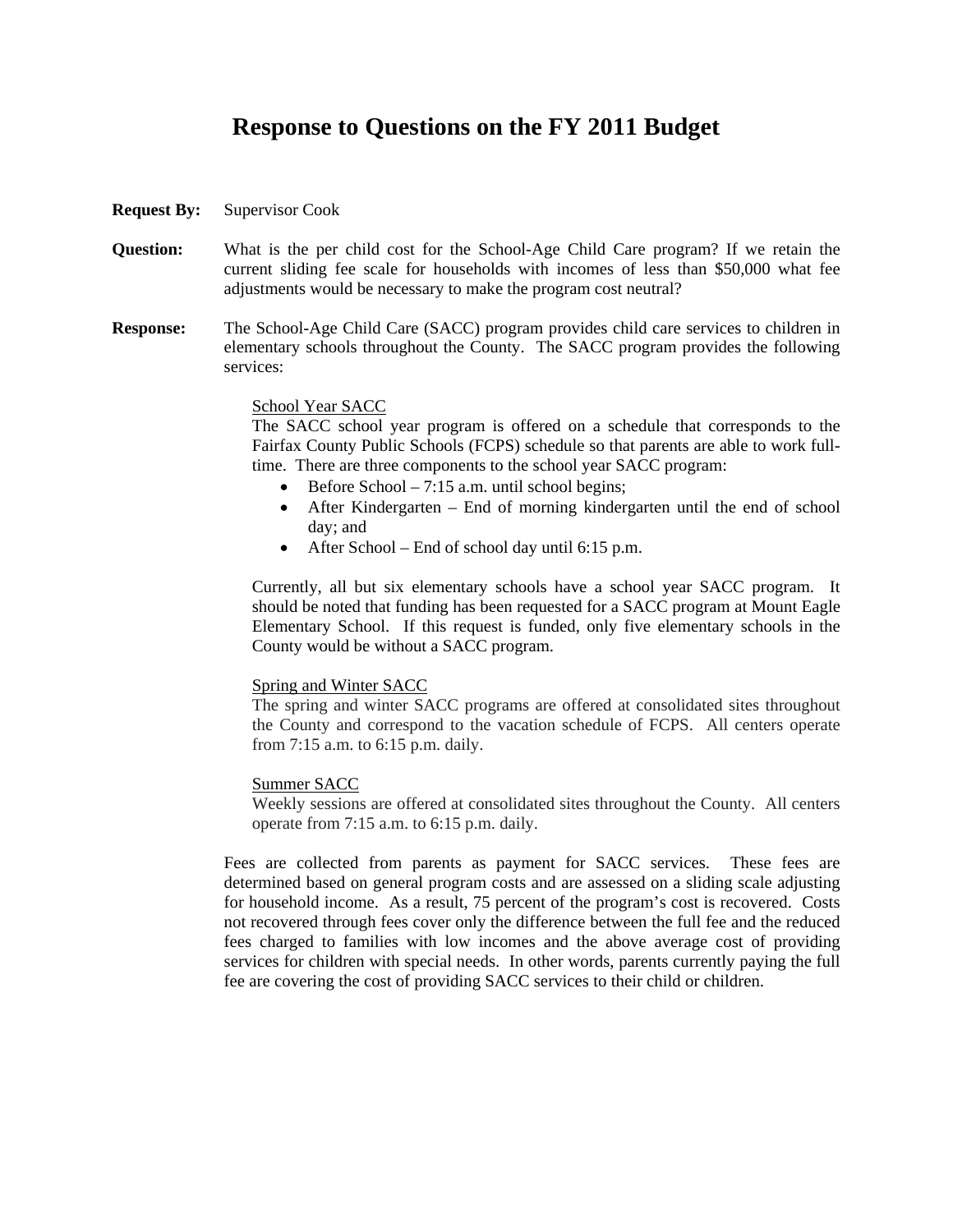## **Response to Questions on the FY 2011 Budget**

- **Request By:** Supervisor Cook
- **Question:** What is the per child cost for the School-Age Child Care program? If we retain the current sliding fee scale for households with incomes of less than \$50,000 what fee adjustments would be necessary to make the program cost neutral?
- **Response:** The School-Age Child Care (SACC) program provides child care services to children in elementary schools throughout the County. The SACC program provides the following services:

## School Year SACC

The SACC school year program is offered on a schedule that corresponds to the Fairfax County Public Schools (FCPS) schedule so that parents are able to work fulltime. There are three components to the school year SACC program:

- Before School 7:15 a.m. until school begins;
- After Kindergarten End of morning kindergarten until the end of school day; and
- After School End of school day until 6:15 p.m.

Currently, all but six elementary schools have a school year SACC program. It should be noted that funding has been requested for a SACC program at Mount Eagle Elementary School. If this request is funded, only five elementary schools in the County would be without a SACC program.

## Spring and Winter SACC

The spring and winter SACC programs are offered at consolidated sites throughout the County and correspond to the vacation schedule of FCPS. All centers operate from 7:15 a.m. to 6:15 p.m. daily.

## Summer SACC

Weekly sessions are offered at consolidated sites throughout the County. All centers operate from 7:15 a.m. to 6:15 p.m. daily.

Fees are collected from parents as payment for SACC services. These fees are determined based on general program costs and are assessed on a sliding scale adjusting for household income. As a result, 75 percent of the program's cost is recovered. Costs not recovered through fees cover only the difference between the full fee and the reduced fees charged to families with low incomes and the above average cost of providing services for children with special needs. In other words, parents currently paying the full fee are covering the cost of providing SACC services to their child or children.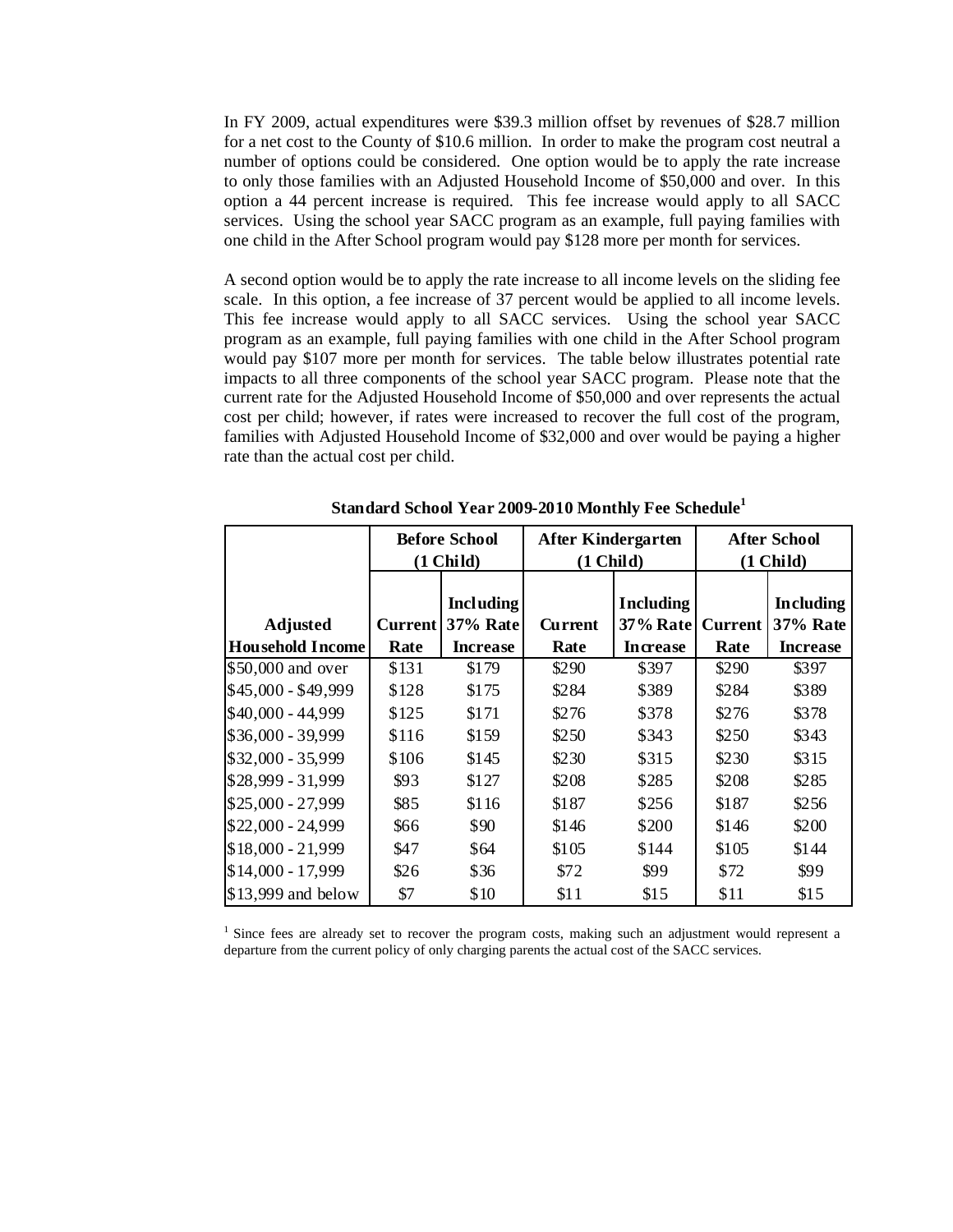In FY 2009, actual expenditures were \$39.3 million offset by revenues of \$28.7 million for a net cost to the County of \$10.6 million. In order to make the program cost neutral a number of options could be considered. One option would be to apply the rate increase to only those families with an Adjusted Household Income of \$50,000 and over. In this option a 44 percent increase is required. This fee increase would apply to all SACC services. Using the school year SACC program as an example, full paying families with one child in the After School program would pay \$128 more per month for services.

A second option would be to apply the rate increase to all income levels on the sliding fee scale. In this option, a fee increase of 37 percent would be applied to all income levels. This fee increase would apply to all SACC services. Using the school year SACC program as an example, full paying families with one child in the After School program would pay \$107 more per month for services. The table below illustrates potential rate impacts to all three components of the school year SACC program. Please note that the current rate for the Adjusted Household Income of \$50,000 and over represents the actual cost per child; however, if rates were increased to recover the full cost of the program, families with Adjusted Household Income of \$32,000 and over would be paying a higher rate than the actual cost per child.

|                         | <b>Before School</b><br>$(1$ Child) |                                     | After Kindergarten<br>$(1$ Child) |                                     | <b>After School</b><br>$(1$ Child) |                                     |
|-------------------------|-------------------------------------|-------------------------------------|-----------------------------------|-------------------------------------|------------------------------------|-------------------------------------|
| <b>Adjusted</b>         | Current                             | <b>Including</b><br><b>37% Rate</b> | Current                           | <b>Including</b><br><b>37% Rate</b> | <b>Current</b>                     | <b>Including</b><br><b>37% Rate</b> |
| <b>Household Income</b> | Rate                                | <b>Increase</b>                     | Rate                              | <b>Increase</b>                     | Rate                               | <b>Increase</b>                     |
| \$50,000 and over       | \$131                               | \$179                               | \$290                             | \$397                               | \$290                              | \$397                               |
| \$45,000 - \$49,999     | \$128                               | \$175                               | \$284                             | \$389                               | \$284                              | \$389                               |
| \$40,000 - 44,999       | \$125                               | \$171                               | \$276                             | \$378                               | \$276                              | \$378                               |
| $$36,000 - 39,999$      | \$116                               | \$159                               | \$250                             | \$343                               | \$250                              | \$343                               |
| \$32,000 - 35,999       | \$106                               | \$145                               | \$230                             | \$315                               | \$230                              | \$315                               |
| \$28,999 - 31,999       | \$93                                | \$127                               | \$208                             | \$285                               | \$208                              | \$285                               |
| \$25,000 - 27,999       | \$85                                | \$116                               | \$187                             | \$256                               | \$187                              | \$256                               |
| \$22,000 - 24,999       | \$66                                | \$90                                | \$146                             | \$200                               | \$146                              | \$200                               |
| $$18,000 - 21,999$      | \$47                                | \$64                                | \$105                             | \$144                               | \$105                              | \$144                               |
| \$14,000 - 17,999       | \$26                                | \$36                                | \$72                              | \$99                                | \$72                               | \$99                                |
| $$13,999$ and below     | \$7                                 | \$10                                | \$11                              | \$15                                | \$11                               | \$15                                |

**Standard School Year 2009-2010 Monthly Fee Schedule<sup>1</sup>**

<sup>1</sup> Since fees are already set to recover the program costs, making such an adjustment would represent a departure from the current policy of only charging parents the actual cost of the SACC services.